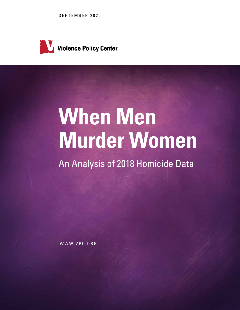SEPTEMBER 2020



# **When Men Murder Women**

An Analysis of 2018 Homicide Data

WWW.VPC.ORG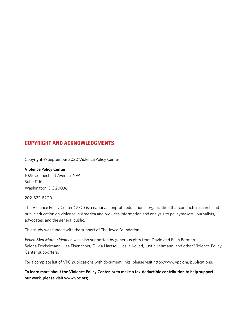# **COPYRIGHT AND ACKNOWLEDGMENTS**

Copyright © September 2020 Violence Policy Center

**Violence Policy Center** 1025 Connecticut Avenue, NW Suite 1210 Washington, DC 20036

202-822-8200

The Violence Policy Center (VPC) is a national nonprofit educational organization that conducts research and public education on violence in America and provides information and analysis to policymakers, journalists, advocates, and the general public.

This study was funded with the support of The Joyce Foundation.

*When Men Murder Women* was also supported by generous gifts from David and Ellen Berman, Selena Deckelmann, Lisa Eisenacher, Olivia Hartsell, Leslie Koved, Justin Lehmann, and other Violence Policy Center supporters.

For a complete list of VPC publications with document links, please visit http://www.vpc.org/publications.

**To learn more about the Violence Policy Center, or to make a tax-deductible contribution to help support our work, please visit www.vpc.org.**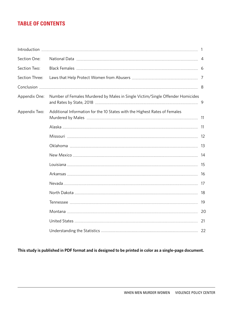# **TABLE OF CONTENTS**

| Section One:   |                                                                                |    |
|----------------|--------------------------------------------------------------------------------|----|
| Section Two:   |                                                                                |    |
| Section Three: |                                                                                |    |
|                |                                                                                |    |
| Appendix One:  | Number of Females Murdered by Males in Single Victim/Single Offender Homicides | -9 |
| Appendix Two:  | Additional Information for the 10 States with the Highest Rates of Females     |    |
|                |                                                                                |    |
|                |                                                                                |    |
|                |                                                                                |    |
|                |                                                                                |    |
|                |                                                                                |    |
|                |                                                                                |    |
|                |                                                                                |    |
|                |                                                                                |    |
|                |                                                                                | 19 |
|                |                                                                                |    |
|                |                                                                                |    |
|                |                                                                                |    |

**This study is published in PDF format and is designed to be printed in color as a single-page document.**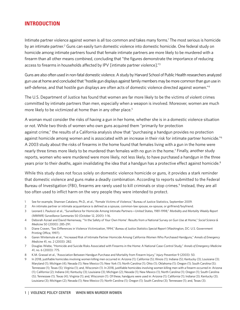## **INTRODUCTION**

Intimate partner violence against women is all too common and takes many forms.<sup>1</sup> The most serious is homicide by an intimate partner.<sup>2</sup> Guns can easily turn domestic violence into domestic homicide. One federal study on homicide among intimate partners found that female intimate partners are more likely to be murdered with a firearm than all other means combined, concluding that "the figures demonstrate the importance of reducing access to firearms in households affected by IPV [intimate partner violence]."3

Guns are also often used in non-fatal domestic violence. A study by Harvard School of Public Health researchers analyzed gun use at home and concluded that "hostile gun displays against family members may be more common than gun use in self-defense, and that hostile gun displays are often acts of domestic violence directed against women."<sup>4</sup>

The U.S. Department of Justice has found that women are far more likely to be the victims of violent crimes committed by intimate partners than men, especially when a weapon is involved. Moreover, women are much more likely to be victimized at home than in any other place.<sup>5</sup>

A woman must consider the risks of having a gun in her home, whether she is in a domestic violence situation or not. While two thirds of women who own guns acquired them "primarily for protection against crime," the results of a California analysis show that "purchasing a handgun provides no protection against homicide among women and is associated with an increase in their risk for intimate partner homicide."6 A 2003 study about the risks of firearms in the home found that females living with a gun in the home were nearly three times more likely to be murdered than females with no gun in the home.<sup>7</sup> Finally, another study reports, women who were murdered were more likely, not less likely, to have purchased a handgun in the three years prior to their deaths, again invalidating the idea that a handgun has a protective effect against homicide.<sup>8</sup>

While this study does not focus solely on domestic violence homicide or guns, it provides a stark reminder that domestic violence and guns make a deadly combination. According to reports submitted to the Federal Bureau of Investigation (FBI), firearms are rarely used to kill criminals or stop crimes.<sup>9</sup> Instead, they are all too often used to inflict harm on the very people they were intended to protect.

- 1 See for example, Shannan Catalano, Ph.D., et al., "Female Victims of Violence," Bureau of Justice Statistics, September 2009.
- 2 An intimate partner or intimate acquaintance is defined as a spouse, common-law spouse, ex-spouse, or girlfriend/boyfriend.
- 3 Leonard J. Paulozzi et al., "Surveillance for Homicide Among Intimate Partners—United States, 1981-1998," *Morbidity and Mortality Weekly Report (MMWR) Surveillance Summaries* 50 (October 12, 2001): 1-16.
- 4 Deborah Azrael and David Hemenway, "'In the Safety of Your Own Home': Results from a National Survey on Gun Use at Home," *Social Science & Medicine* 50 (2000): 285-291.
- 5 Diane Craven, "Sex Differences in Violence Victimization, 1994," *Bureau of Justice Statistics Special Report* (Washington, DC: U.S. Government Printing Office, 1997).
- 6 Garen Wintemute et al., "Increased Risk of Intimate Partner Homicide Among California Women Who Purchased Handguns," *Annals of Emergency Medicine* 41, no. 2 (2003): 282.
- 7 Douglas Wiebe, "Homicide and Suicide Risks Associated with Firearms in the Home: A National Case-Control Study," *Annals of Emergency Medicine* 41, no. 6 (2003): 775.
- 8 K.M. Grassel et al., "Association Between Handgun Purchase and Mortality from Firearm Injury," *Injury Prevention* 9 (2003): 50.
- 9 In 2018, justifiable homicides involving women killing men occurred in: Arizona (1); California (5); Illinois (1); Indiana (5); Kentucky (3); Louisiana (3); Maryland (1); Michigan (4); Nevada (1); New Mexico (1); New York (1); North Carolina (1); Ohio (1); Oklahoma (1); Oregon (1); South Carolina (5); Tennessee (1); Texas (5); Virginia (1); and, Wisconsin (1). In 2018, justifiable homicides involving women killing men with a firearm occurred in: Arizona (1); California (2); Indiana (4); Kentucky (3); Louisiana (3); Michigan (2); Nevada (1); New Mexico (1); North Carolina (1); Oregon (1); South Carolina (5); Tennessee (1); Texas (4); Virginia (1); and, Wisconsin (1). Of these, handguns were used in: Arizona (1); California (1); Indiana (3); Kentucky (3); Louisiana (3); Michigan (2); Nevada (1); New Mexico (1); North Carolina (1); Oregon (1); South Carolina (3); Tennessee (1); and, Texas (3).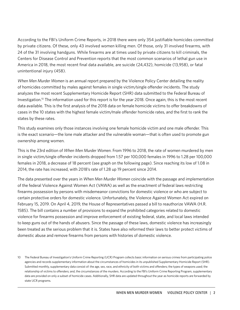According to the FBI's Uniform Crime Reports, in 2018 there were only 354 justifiable homicides committed by private citizens. Of these, only 43 involved women killing men. Of those, only 31 involved firearms, with 24 of the 31 involving handguns. While firearms are at times used by private citizens to kill criminals, the Centers for Disease Control and Prevention reports that the most common scenarios of lethal gun use in America in 2018, the most recent final data available, are suicide (24,432), homicide (13,958), or fatal unintentional injury (458).

*When Men Murder Women* is an annual report prepared by the Violence Policy Center detailing the reality of homicides committed by males against females in single victim/single offender incidents. The study analyzes the most recent Supplementary Homicide Report (SHR) data submitted to the Federal Bureau of Investigation.10 The information used for this report is for the year 2018. Once again, this is the most recent data available. This is the first analysis of the 2018 data on female homicide victims to offer breakdowns of cases in the 10 states with the highest female victim/male offender homicide rates, and the first to rank the states by these rates.

This study examines only those instances involving one female homicide victim and one male offender. This is the exact scenario—the lone male attacker and the vulnerable woman—that is often used to promote gun ownership among women.

This is the 23rd edition of *When Men Murder Women*. From 1996 to 2018, the rate of women murdered by men in single victim/single offender incidents dropped from 1.57 per 100,000 females in 1996 to 1.28 per 100,000 females in 2018, a decrease of 18 percent (see graph on the following page). Since reaching its low of 1.08 in 2014, the rate has increased, with 2018's rate of 1.28 up 19 percent since 2014.

The data presented over the years in *When Men Murder Women* coincide with the passage and implementation of the federal Violence Against Women Act (VAWA) as well as the enactment of federal laws restricting firearms possession by persons with misdemeanor convictions for domestic violence or who are subject to certain protective orders for domestic violence. Unfortunately, the Violence Against Women Act expired on February 15, 2019. On April 4, 2019, the House of Representatives passed a bill to reauthorize VAWA (H.R. 1585). The bill contains a number of provisions to expand the prohibited categories related to domestic violence for firearms possession and improve enforcement of existing federal, state, and local laws intended to keep guns out of the hands of abusers. Since the passage of these laws, domestic violence has increasingly been treated as the serious problem that it is. States have also reformed their laws to better protect victims of domestic abuse and remove firearms from persons with histories of domestic violence.

<sup>10</sup> The Federal Bureau of Investigation's Uniform Crime Reporting (UCR) Program collects basic information on serious crimes from participating police agencies and records supplementary information about the circumstances of homicides in its unpublished Supplementary Homicide Report (SHR). Submitted monthly, supplementary data consist of: the age, sex, race, and ethnicity of both victims and offenders; the types of weapons used; the relationship of victims to offenders; and, the circumstances of the murders. According to the FBI's Uniform Crime Reporting Program, supplementary data are provided on only a subset of homicide cases. Additionally, SHR data are updated throughout the year as homicide reports are forwarded by state UCR programs.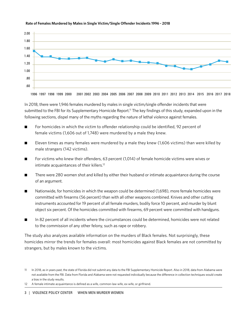

Rate of Females Murdered by Males in Single Victim/Single Offender Incidents 1996 - 2018

In 2018, there were 1,946 females murdered by males in single victim/single offender incidents that were submitted to the FBI for its Supplementary Homicide Report.<sup>11</sup> The key findings of this study, expanded upon in the following sections, dispel many of the myths regarding the nature of lethal violence against females.

- For homicides in which the victim to offender relationship could be identified, 92 percent of female victims (1,606 out of 1,748) were murdered by a male they knew.
- **E** Eleven times as many females were murdered by a male they knew (1,606 victims) than were killed by male strangers (142 victims).
- For victims who knew their offenders, 63 percent (1,014) of female homicide victims were wives or intimate acquaintances of their killers.<sup>12</sup>
- There were 280 women shot and killed by either their husband or intimate acquaintance during the course of an argument.
- Nationwide, for homicides in which the weapon could be determined (1,698), more female homicides were committed with firearms (56 percent) than with all other weapons combined. Knives and other cutting instruments accounted for 19 percent of all female murders, bodily force 10 percent, and murder by blunt object six percent. Of the homicides committed with firearms, 69 percent were committed with handguns.
- In 82 percent of all incidents where the circumstances could be determined, homicides were not related to the commission of any other felony, such as rape or robbery.

The study also analyzes available information on the murders of Black females. Not surprisingly, these homicides mirror the trends for females overall: most homicides against Black females are not committed by strangers, but by males known to the victims.

<sup>11</sup> In 2018, as in years past, the state of Florida did not submit any data to the FBI Supplementary Homicide Report. Also in 2018, data from Alabama were not available from the FBI. Data from Florida and Alabama were not requested individually because the difference in collection techniques would create a bias in the study results.

<sup>12</sup> A female intimate acquaintance is defined as a wife, common-law wife, ex-wife, or girlfriend.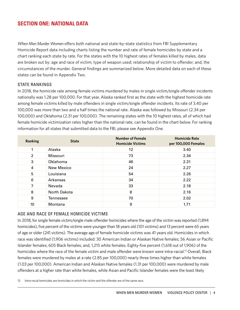# **SECTION ONE: NATIONAL DATA**

*When Men Murder Women* offers both national and state-by-state statistics from FBI Supplementary Homicide Report data including charts listing the number and rate of female homicides by state and a chart ranking each state by rate. For the states with the 10 highest rates of females killed by males, data are broken out by: age and race of victim; type of weapon used; relationship of victim to offender; and, the circumstances of the murder. General findings are summarized below. More detailed data on each of these states can be found in Appendix Two.

#### STATE RANKINGS

In 2018, the homicide rate among female victims murdered by males in single victim/single offender incidents nationally was 1.28 per 100,000. For that year, Alaska ranked first as the state with the highest homicide rate among female victims killed by male offenders in single victim/single offender incidents. Its rate of 3.40 per 100,000 was more than two and a half times the national rate. Alaska was followed by Missouri (2.34 per 100,000) and Oklahoma (2.31 per 100,000). The remaining states with the 10 highest rates, all of which had female homicide victimization rates higher than the national rate, can be found in the chart below. For ranking information for all states that submitted data to the FBI, please see Appendix One.

| Ranking        | <b>State</b> | <b>Number of Female</b><br><b>Homicide Victims</b> | <b>Homicide Rate</b><br>per 100,000 Females |
|----------------|--------------|----------------------------------------------------|---------------------------------------------|
| 1              | Alaska       | 12                                                 | 3.40                                        |
| $\overline{2}$ | Missouri     | 73                                                 | 2.34                                        |
| 3              | Oklahoma     | 46                                                 | 2.31                                        |
| 4              | New Mexico   | 24                                                 | 2.27                                        |
| 5              | Louisiana    | 54                                                 | 2.26                                        |
| 6              | Arkansas     | 34                                                 | 2.22                                        |
| 7              | Nevada       | 33                                                 | 2.18                                        |
| 8              | North Dakota | 8                                                  | 2.16                                        |
| 9              | Tennessee    | 70                                                 | 2.02                                        |
| 10             | Montana      | 9                                                  | 1.71                                        |

#### AGE AND RACE OF FEMALE HOMICIDE VICTIMS

In 2018, for single female victim/single male offender homicides where the age of the victim was reported (1,894 homicides), five percent of the victims were younger than 18 years old (101 victims) and 13 percent were 65 years of age or older (241 victims). The average age of female homicide victims was 41 years old. Homicides in which race was identified (1,906 victims) included: 30 American Indian or Alaskan Native females; 56 Asian or Pacific Islander females; 605 Black females; and, 1,215 white females. Eighty-five percent (1,618 out of 1,906) of the homicides where the race of the female victim and male offender were known were intra-racial.<sup>13</sup> Overall, Black females were murdered by males at a rate (2.85 per 100,000) nearly three times higher than white females (1.03 per 100,000). American Indian and Alaskan Native females (1.31 per 100,000) were murdered by male offenders at a higher rate than white females, while Asian and Pacific Islander females were the least likely

13 Intra-racial homicides are homicides in which the victim and the offender are of the same race.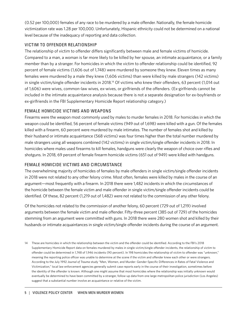(0.52 per 100,000) females of any race to be murdered by a male offender. Nationally, the female homicide victimization rate was 1.28 per 100,000. Unfortunately, Hispanic ethnicity could not be determined on a national level because of the inadequacy of reporting and data collection.

#### VICTIM TO OFFENDER RELATIONSHIP

The relationship of victim to offender differs significantly between male and female victims of homicide. Compared to a man, a woman is far more likely to be killed by her spouse, an intimate acquaintance, or a family member than by a stranger. For homicides in which the victim to offender relationship could be identified, 92 percent of female victims (1,606 out of 1,748) were murdered by someone they knew. Eleven times as many females were murdered by a male they knew (1,606 victims) than were killed by male strangers (142 victims) in single victim/single offender incidents in 2018.14 Of victims who knew their offenders, 63 percent (1,014 out of 1,606) were wives, common-law wives, ex-wives, or girlfriends of the offenders. (Ex-girlfriends cannot be included in the intimate acquaintance analysis because there is not a separate designation for ex-boyfriends or ex-girlfriends in the FBI Supplementary Homicide Report relationship category.)

#### FEMALE HOMICIDE VICTIMS AND WEAPONS

Firearms were the weapon most commonly used by males to murder females in 2018. For homicides in which the weapon could be identified, 56 percent of female victims (949 out of 1,698) were killed with a gun. Of the females killed with a firearm, 60 percent were murdered by male intimates. The number of females shot and killed by their husband or intimate acquaintance (568 victims) was four times higher than the total number murdered by male strangers using all weapons combined (142 victims) in single victim/single offender incidents in 2018. In homicides where males used firearms to kill females, handguns were clearly the weapon of choice over rifles and shotguns. In 2018, 69 percent of female firearm homicide victims (651 out of 949) were killed with handguns.

## FEMALE HOMICIDE VICTIMS AND CIRCUMSTANCE

The overwhelming majority of homicides of females by male offenders in single victim/single offender incidents in 2018 were not related to any other felony crime. Most often, females were killed by males in the course of an argument—most frequently with a firearm. In 2018 there were 1,482 incidents in which the circumstances of the homicide between the female victim and male offender in single victim/single offender incidents could be identified. Of these, 82 percent (1,219 out of 1,482) were not related to the commission of any other felony.

Of the homicides not related to the commission of another felony, 60 percent (729 out of 1,219) involved arguments between the female victim and male offender. Fifty-three percent (385 out of 729) of the homicides stemming from an argument were committed with guns. In 2018 there were 280 women shot and killed by their husbands or intimate acquaintances in single victim/single offender incidents during the course of an argument.

14 These are homicides in which the relationship between the victim and the offender could be identified. According to the FBI's 2018 Supplementary Homicide Report data on females murdered by males in single victim/single offender incidents, the relationship of victim to offender could be determined in 1,748 of 1,946 incidents (90 percent). In 198 homicides the relationship of victim to offender was "unknown," meaning the reporting police officer was unable to determine at the scene if the victim and offender knew each other or were strangers. According to the July 1992 *Journal of Trauma* study "Men, Women, and Murder: Gender-Specific Differences in Rates of Fatal Violence and Victimization," local law enforcement agencies generally submit case reports early in the course of their investigation, sometimes before the identity of the offender is known. Although one might assume that most homicides where the relationship was initially unknown would eventually be determined to have been committed by a stranger, follow-up data from one large metropolitan police jurisdiction (Los Angeles) suggest that a substantial number involve an acquaintance or relative of the victim.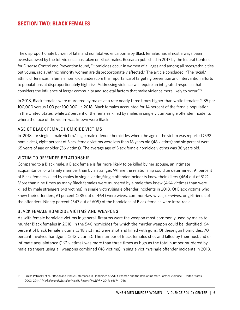## **SECTION TWO: BLACK FEMALES**

The disproportionate burden of fatal and nonfatal violence borne by Black females has almost always been overshadowed by the toll violence has taken on Black males. Research published in 2017 by the federal Centers for Disease Control and Prevention found, "Homicides occur in women of all ages and among all races/ethnicities, but young, racial/ethnic minority women are disproportionately affected." The article concluded, "The racial/ ethnic differences in female homicide underscore the importance of targeting prevention and intervention efforts to populations at disproportionately high risk. Addressing violence will require an integrated response that considers the influence of larger community and societal factors that make violence more likely to occur."15

In 2018, Black females were murdered by males at a rate nearly three times higher than white females: 2.85 per 100,000 versus 1.03 per 100,000. In 2018, Black females accounted for 14 percent of the female population in the United States, while 32 percent of the females killed by males in single victim/single offender incidents where the race of the victim was known were Black.

#### AGE OF BLACK FEMALE HOMICIDE VICTIMS

In 2018, for single female victim/single male offender homicides where the age of the victim was reported (592 homicides), eight percent of Black female victims were less than 18 years old (48 victims) and six percent were 65 years of age or older (36 victims). The average age of Black female homicide victims was 36 years old.

#### VICTIM TO OFFENDER RELATIONSHIP

Compared to a Black male, a Black female is far more likely to be killed by her spouse, an intimate acquaintance, or a family member than by a stranger. Where the relationship could be determined, 91 percent of Black females killed by males in single victim/single offender incidents knew their killers (464 out of 512). More than nine times as many Black females were murdered by a male they knew (464 victims) than were killed by male strangers (48 victims) in single victim/single offender incidents in 2018. Of Black victims who knew their offenders, 61 percent (285 out of 464) were wives, common-law wives, ex-wives, or girlfriends of the offenders. Ninety percent (547 out of 605) of the homicides of Black females were intra-racial.

#### BLACK FEMALE HOMICIDE VICTIMS AND WEAPONS

As with female homicide victims in general, firearms were the weapon most commonly used by males to murder Black females in 2018. In the 540 homicides for which the murder weapon could be identified, 64 percent of Black female victims (348 victims) were shot and killed with guns. Of these gun homicides, 70 percent involved handguns (242 victims). The number of Black females shot and killed by their husband or intimate acquaintance (162 victims) was more than three times as high as the total number murdered by male strangers using all weapons combined (48 victims) in single victim/single offender incidents in 2018.

<sup>15</sup> Emiko Petrosky et al., "Racial and Ethnic Differences in Homicides of Adult Women and the Role of Intimate Partner Violence—United States, 2003–2014," *Morbidity and Mortality Weekly Report (MMWR)*, 2017; 66: 741–746.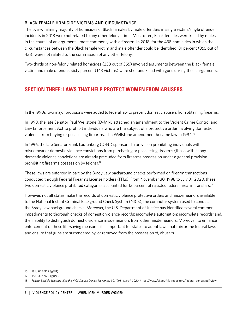#### BLACK FEMALE HOMICIDE VICTIMS AND CIRCUMSTANCE

The overwhelming majority of homicides of Black females by male offenders in single victim/single offender incidents in 2018 were not related to any other felony crime. Most often, Black females were killed by males in the course of an argument—most commonly with a firearm. In 2018, for the 438 homicides in which the circumstances between the Black female victim and male offender could be identified, 81 percent (355 out of 438) were not related to the commission of any other felony.

Two-thirds of non-felony related homicides (238 out of 355) involved arguments between the Black female victim and male offender. Sixty percent (143 victims) were shot and killed with guns during those arguments.

# **SECTION THREE: LAWS THAT HELP PROTECT WOMEN FROM ABUSERS**

In the 1990s, two major provisions were added to federal law to prevent domestic abusers from obtaining firearms.

In 1993, the late Senator Paul Wellstone (D-MN) attached an amendment to the Violent Crime Control and Law Enforcement Act to prohibit individuals who are the subject of a protective order involving domestic violence from buying or possessing firearms. The Wellstone amendment became law in 1994.<sup>16</sup>

In 1996, the late Senator Frank Lautenberg (D-NJ) sponsored a provision prohibiting individuals with misdemeanor domestic violence convictions from purchasing or possessing firearms (those with felony domestic violence convictions are already precluded from firearms possession under a general provision prohibiting firearms possession by felons).17

These laws are enforced in part by the Brady Law background checks performed on firearm transactions conducted through Federal Firearms License holders (FFLs). From November 30, 1998 to July 31, 2020, these two domestic violence prohibited categories accounted for 13 percent of rejected federal firearm transfers.<sup>18</sup>

However, not all states make the records of domestic violence protective orders and misdemeanors available to the National Instant Criminal Background Check System (NICS), the computer system used to conduct the Brady Law background checks. Moreover, the U.S. Department of Justice has identified several common impediments to thorough checks of domestic violence records: incomplete automation; incomplete records; and, the inability to distinguish domestic violence misdemeanors from other misdemeanors. Moreover, to enhance enforcement of these life-saving measures it is important for states to adopt laws that mirror the federal laws and ensure that guns are surrendered by, or removed from the possession of, abusers.

<sup>16</sup> 18 USC § 922 (g)(8).

<sup>17</sup> 18 USC § 922 (g)(9).

<sup>18</sup> *Federal Denials, Reasons Why the NICS Section Denies*, *November 30, 1998*–*July 31, 2020*, https://www.fbi.gov/file-repository/federal\_denials.pdf/view.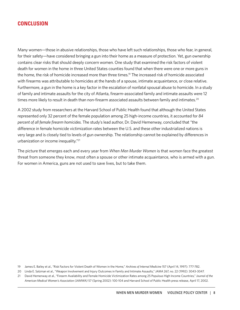## **CONCLUSION**

Many women—those in abusive relationships, those who have left such relationships, those who fear, in general, for their safety—have considered bringing a gun into their home as a measure of protection. Yet, gun ownership contains clear risks that should deeply concern women. One study that examined the risk factors of violent death for women in the home in three United States counties found that when there were one or more guns in the home, the risk of homicide increased more than three times.<sup>19</sup> The increased risk of homicide associated with firearms was attributable to homicides at the hands of a spouse, intimate acquaintance, or close relative. Furthermore, a gun in the home is a key factor in the escalation of nonfatal spousal abuse to homicide. In a study of family and intimate assaults for the city of Atlanta, firearm-associated family and intimate assaults were 12 times more likely to result in death than non-firearm associated assaults between family and intimates.<sup>20</sup>

A 2002 study from researchers at the Harvard School of Public Health found that although the United States represented only 32 percent of the female population among 25 high-income countries, it accounted for *84 percent of all female firearm homicides*. The study's lead author, Dr. David Hemenway, concluded that "the difference in female homicide victimization rates between the U.S. and these other industrialized nations is very large and is closely tied to levels of gun ownership. The relationship cannot be explained by differences in urbanization or income inequality."21

The picture that emerges each and every year from *When Men Murder Women* is that women face the greatest threat from someone they know, most often a spouse or other intimate acquaintance, who is armed with a gun. For women in America, guns are not used to save lives, but to take them.

19 James E. Bailey et al., "Risk Factors for Violent Death of Women in the Home," *Archives of Internal Medicine* 157 (April 14, 1997): 777-782.

20 Linda E. Salzman et al., "Weapon Involvement and Injury Outcomes in Family and Intimate Assaults," *JAMA* 267, no. 22 (1992): 3043-3047.

21 David Hemenway et al., "Firearm Availability and Female Homicide Victimization Rates among 25 Populous High Income Countries," *Journal of the American Medical Women's Association (JAMWA)* 57 (Spring 2002): 100-104 and Harvard School of Public Health press release, April 17, 2002.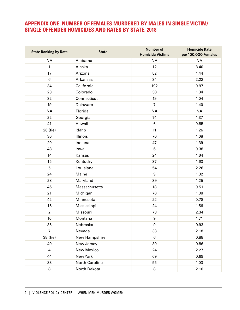# **APPENDIX ONE: NUMBER OF FEMALES MURDERED BY MALES IN SINGLE VICTIM/ SINGLE OFFENDER HOMICIDES AND RATES BY STATE, 2018**

| <b>State Ranking by Rate</b> | <b>State</b>   | <b>Number of</b><br><b>Homicide Victims</b> | <b>Homicide Rate</b><br>per 100,000 Females |
|------------------------------|----------------|---------------------------------------------|---------------------------------------------|
| <b>NA</b>                    | Alabama        | <b>NA</b>                                   | <b>NA</b>                                   |
| 1                            | Alaska         | 12                                          | 3.40                                        |
| 17                           | Arizona        | 52                                          | 1.44                                        |
| $\,6$                        | Arkansas       | 34                                          | 2.22                                        |
| 34                           | California     | 192                                         | 0.97                                        |
| 23                           | Colorado       | 38                                          | 1.34                                        |
| 32                           | Connecticut    | 19                                          | 1.04                                        |
| 19                           | Delaware       | $\overline{7}$                              | 1.40                                        |
| <b>NA</b>                    | Florida        | <b>NA</b>                                   | <b>NA</b>                                   |
| 22                           | Georgia        | 74                                          | 1.37                                        |
| 41                           | Hawaii         | 6                                           | 0.85                                        |
| 26 (tie)                     | Idaho          | 11                                          | 1.26                                        |
| 30                           | Illinois       | 70                                          | 1.08                                        |
| 20                           | Indiana        | 47                                          | 1.39                                        |
| 48                           | lowa           | 6                                           | 0.38                                        |
| 14                           | Kansas         | 24                                          | 1.64                                        |
| 15                           | Kentucky       | 37                                          | 1.63                                        |
| $\overline{5}$               | Louisiana      | 54                                          | 2.26                                        |
| 24                           | Maine          | 9                                           | 1.32                                        |
| 28                           | Maryland       | 39                                          | 1.25                                        |
| 46                           | Massachusetts  | 18                                          | 0.51                                        |
| 21                           | Michigan       | 70                                          | 1.38                                        |
| 42                           | Minnesota      | 22                                          | 0.78                                        |
| 16                           | Mississippi    | 24                                          | 1.56                                        |
| $\overline{2}$               | Missouri       | 73                                          | 2.34                                        |
| 10                           | Montana        | $\boldsymbol{9}$                            | 1.71                                        |
| 35                           | Nebraska       | 9                                           | 0.93                                        |
| $\overline{7}$               | Nevada         | 33                                          | 2.18                                        |
| 38 (tie)                     | New Hampshire  | 6                                           | 0.88                                        |
| 40                           | New Jersey     | 39                                          | 0.86                                        |
| $\overline{4}$               | New Mexico     | 24                                          | 2.27                                        |
| 44                           | New York       | 69                                          | 0.69                                        |
| 33                           | North Carolina | 55                                          | 1.03                                        |
| $\bf 8$                      | North Dakota   | 8                                           | 2.16                                        |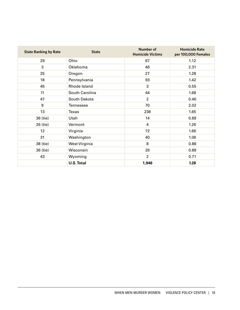| <b>State Ranking by Rate</b> | <b>State</b>      | <b>Number of</b><br><b>Homicide Victims</b> | <b>Homicide Rate</b><br>per 100,000 Females |
|------------------------------|-------------------|---------------------------------------------|---------------------------------------------|
| 29                           | Ohio              | 67                                          | 1.12                                        |
| 3                            | Oklahoma          | 46                                          | 2.31                                        |
| 25                           | Oregon            | 27                                          | 1.28                                        |
| 18                           | Pennsylvania      | 93                                          | 1.42                                        |
| 45                           | Rhode Island      | 3                                           | 0.55                                        |
| 11                           | South Carolina    | 44                                          | 1.68                                        |
| 47                           | South Dakota      | $\overline{2}$                              | 0.46                                        |
| 9                            | <b>Tennessee</b>  | 70                                          | 2.02                                        |
| 13                           | Texas             | 238                                         | 1.65                                        |
| 36 (tie)                     | Utah              | 14                                          | 0.89                                        |
| 26 (tie)                     | Vermont           | 4                                           | 1.26                                        |
| 12                           | Virginia          | 72                                          | 1.66                                        |
| 31                           | Washington        | 40                                          | 1.06                                        |
| 38 (tie)                     | West Virginia     | 8                                           | 0.88                                        |
| 36 (tie)                     | Wisconsin         | 26                                          | 0.89                                        |
| 43                           | Wyoming           | $\overline{2}$                              | 0.71                                        |
|                              | <b>U.S. Total</b> | 1,946                                       | 1.28                                        |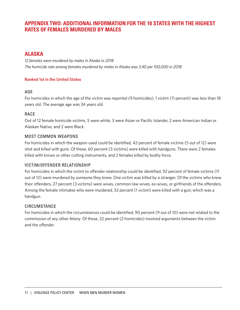# **APPENDIX TWO: ADDITIONAL INFORMATION FOR THE 10 STATES WITH THE HIGHEST RATES OF FEMALES MURDERED BY MALES**

# **ALASKA**

*12 females were murdered by males in Alaska in 2018 The homicide rate among females murdered by males in Alaska was 3.40 per 100,000 in 2018*

#### **Ranked 1st in the United States**

#### AGE

For homicides in which the age of the victim was reported (9 homicides), 1 victim (11 percent) was less than 18 years old. The average age was 34 years old.

#### RACE

Out of 12 female homicide victims, 5 were white, 3 were Asian or Pacific Islander, 2 were American Indian or Alaskan Native, and 2 were Black.

#### MOST COMMON WEAPONS

For homicides in which the weapon used could be identified, 42 percent of female victims (5 out of 12) were shot and killed with guns. Of these, 60 percent (3 victims) were killed with handguns. There were 2 females killed with knives or other cutting instruments, and 2 females killed by bodily force.

#### VICTIM/OFFENDER RELATIONSHIP

For homicides in which the victim to offender relationship could be identified, 92 percent of female victims (11 out of 12) were murdered by someone they knew. One victim was killed by a stranger. Of the victims who knew their offenders, 27 percent (3 victims) were wives, common-law wives, ex-wives, or girlfriends of the offenders. Among the female intimates who were murdered, 33 percent (1 victim) were killed with a gun; which was a handgun.

#### CIRCUMSTANCE

For homicides in which the circumstances could be identified, 90 percent (9 out of 10) were not related to the commission of any other felony. Of these, 22 percent (2 homicides) involved arguments between the victim and the offender.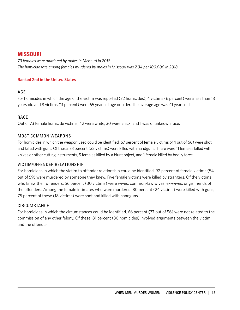## **MISSOURI**

*73 females were murdered by males in Missouri in 2018 The homicide rate among females murdered by males in Missouri was 2.34 per 100,000 in 2018*

#### **Ranked 2nd in the United States**

#### AGE

For homicides in which the age of the victim was reported (72 homicides), 4 victims (6 percent) were less than 18 years old and 8 victims (11 percent) were 65 years of age or older. The average age was 41 years old.

## RACE

Out of 73 female homicide victims, 42 were white, 30 were Black, and 1 was of unknown race.

#### MOST COMMON WEAPONS

For homicides in which the weapon used could be identified, 67 percent of female victims (44 out of 66) were shot and killed with guns. Of these, 73 percent (32 victims) were killed with handguns. There were 11 females killed with knives or other cutting instruments, 5 females killed by a blunt object, and 1 female killed by bodily force.

## VICTIM/OFFENDER RELATIONSHIP

For homicides in which the victim to offender relationship could be identified, 92 percent of female victims (54 out of 59) were murdered by someone they knew. Five female victims were killed by strangers. Of the victims who knew their offenders, 56 percent (30 victims) were wives, common-law wives, ex-wives, or girlfriends of the offenders. Among the female intimates who were murdered, 80 percent (24 victims) were killed with guns; 75 percent of these (18 victims) were shot and killed with handguns.

#### CIRCUMSTANCE

For homicides in which the circumstances could be identified, 66 percent (37 out of 56) were not related to the commission of any other felony. Of these, 81 percent (30 homicides) involved arguments between the victim and the offender.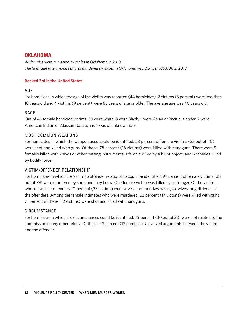## **OKLAHOMA**

*46 females were murdered by males in Oklahoma in 2018 The homicide rate among females murdered by males in Oklahoma was 2.31 per 100,000 in 2018*

#### **Ranked 3rd in the United States**

#### AGE

For homicides in which the age of the victim was reported (44 homicides), 2 victims (5 percent) were less than 18 years old and 4 victims (9 percent) were 65 years of age or older. The average age was 40 years old.

#### RACE

Out of 46 female homicide victims, 33 were white, 8 were Black, 2 were Asian or Pacific Islander, 2 were American Indian or Alaskan Native, and 1 was of unknown race.

#### MOST COMMON WEAPONS

For homicides in which the weapon used could be identified, 58 percent of female victims (23 out of 40) were shot and killed with guns. Of these, 78 percent (18 victims) were killed with handguns. There were 5 females killed with knives or other cutting instruments, 1 female killed by a blunt object, and 6 females killed by bodily force.

#### VICTIM/OFFENDER RELATIONSHIP

For homicides in which the victim to offender relationship could be identified, 97 percent of female victims (38 out of 39) were murdered by someone they knew. One female victim was killed by a stranger. Of the victims who knew their offenders, 71 percent (27 victims) were wives, common-law wives, ex-wives, or girlfriends of the offenders. Among the female intimates who were murdered, 63 percent (17 victims) were killed with guns; 71 percent of these (12 victims) were shot and killed with handguns.

#### **CIRCUMSTANCE**

For homicides in which the circumstances could be identified, 79 percent (30 out of 38) were not related to the commission of any other felony. Of these, 43 percent (13 homicides) involved arguments between the victim and the offender.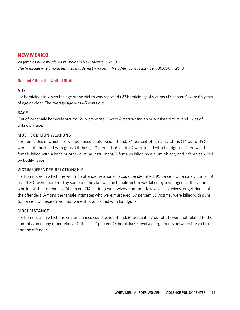# **NEW MEXICO**

*24 females were murdered by males in New Mexico in 2018 The homicide rate among females murdered by males in New Mexico was 2.27 per 100,000 in 2018*

#### **Ranked 4th in the United States**

#### AGE

For homicides in which the age of the victim was reported (23 homicides), 4 victims (17 percent) were 65 years of age or older. The average age was 45 years old.

## RACE

Out of 24 female homicide victims, 20 were white, 3 were American Indian or Alaskan Native, and 1 was of unknown race.

#### MOST COMMON WEAPONS

For homicides in which the weapon used could be identified, 74 percent of female victims (14 out of 19) were shot and killed with guns. Of these, 43 percent (6 victims) were killed with handguns. There was 1 female killed with a knife or other cutting instrument, 2 females killed by a blunt object, and 2 females killed by bodily force.

## VICTIM/OFFENDER RELATIONSHIP

For homicides in which the victim to offender relationship could be identified, 95 percent of female victims (19 out of 20) were murdered by someone they knew. One female victim was killed by a stranger. Of the victims who knew their offenders, 74 percent (14 victims) were wives, common-law wives, ex-wives, or girlfriends of the offenders. Among the female intimates who were murdered, 57 percent (8 victims) were killed with guns; 63 percent of these (5 victims) were shot and killed with handguns.

## CIRCUMSTANCE

For homicides in which the circumstances could be identified, 81 percent (17 out of 21) were not related to the commission of any other felony. Of these, 47 percent (8 homicides) involved arguments between the victim and the offender.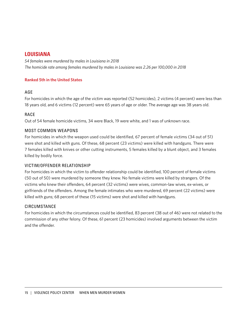## **LOUISIANA**

*54 females were murdered by males in Louisiana in 2018 The homicide rate among females murdered by males in Louisiana was 2.26 per 100,000 in 2018*

#### **Ranked 5th in the United States**

#### AGE

For homicides in which the age of the victim was reported (52 homicides), 2 victims (4 percent) were less than 18 years old, and 6 victims (12 percent) were 65 years of age or older. The average age was 38 years old.

#### RACE

Out of 54 female homicide victims, 34 were Black, 19 were white, and 1 was of unknown race.

#### MOST COMMON WEAPONS

For homicides in which the weapon used could be identified, 67 percent of female victims (34 out of 51) were shot and killed with guns. Of these, 68 percent (23 victims) were killed with handguns. There were 7 females killed with knives or other cutting instruments, 5 females killed by a blunt object, and 3 females killed by bodily force.

#### VICTIM/OFFENDER RELATIONSHIP

For homicides in which the victim to offender relationship could be identified, 100 percent of female victims (50 out of 50) were murdered by someone they knew. No female victims were killed by strangers. Of the victims who knew their offenders, 64 percent (32 victims) were wives, common-law wives, ex-wives, or girlfriends of the offenders. Among the female intimates who were murdered, 69 percent (22 victims) were killed with guns; 68 percent of these (15 victims) were shot and killed with handguns.

#### CIRCUMSTANCE

For homicides in which the circumstances could be identified, 83 percent (38 out of 46) were not related to the commission of any other felony. Of these, 61 percent (23 homicides) involved arguments between the victim and the offender.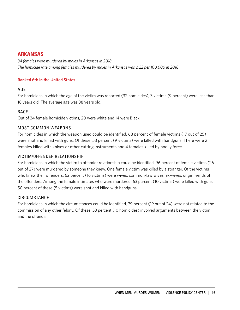## **ARKANSAS**

*34 females were murdered by males in Arkansas in 2018 The homicide rate among females murdered by males in Arkansas was 2.22 per 100,000 in 2018*

#### **Ranked 6th in the United States**

#### AGE

For homicides in which the age of the victim was reported (32 homicides), 3 victims (9 percent) were less than 18 years old. The average age was 38 years old.

## RACE

Out of 34 female homicide victims, 20 were white and 14 were Black.

#### MOST COMMON WEAPONS

For homicides in which the weapon used could be identified, 68 percent of female victims (17 out of 25) were shot and killed with guns. Of these, 53 percent (9 victims) were killed with handguns. There were 2 females killed with knives or other cutting instruments and 4 females killed by bodily force.

#### VICTIM/OFFENDER RELATIONSHIP

For homicides in which the victim to offender relationship could be identified, 96 percent of female victims (26 out of 27) were murdered by someone they knew. One female victim was killed by a stranger. Of the victims who knew their offenders, 62 percent (16 victims) were wives, common-law wives, ex-wives, or girlfriends of the offenders. Among the female intimates who were murdered, 63 percent (10 victims) were killed with guns; 50 percent of these (5 victims) were shot and killed with handguns.

#### CIRCUMSTANCE

For homicides in which the circumstances could be identified, 79 percent (19 out of 24) were not related to the commission of any other felony. Of these, 53 percent (10 homicides) involved arguments between the victim and the offender.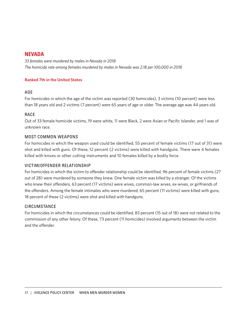## **NEVADA**

*33 females were murdered by males in Nevada in 2018 The homicide rate among females murdered by males in Nevada was 2.18 per 100,000 in 2018*

#### **Ranked 7th in the United States**

#### AGE

For homicides in which the age of the victim was reported (30 homicides), 3 victims (10 percent) were less than 18 years old and 2 victims (7 percent) were 65 years of age or older. The average age was 44 years old.

#### RACE

Out of 33 female homicide victims, 19 were white, 11 were Black, 2 were Asian or Pacific Islander, and 1 was of unknown race.

#### MOST COMMON WEAPONS

For homicides in which the weapon used could be identified, 55 percent of female victims (17 out of 31) were shot and killed with guns. Of these, 12 percent (2 victims) were killed with handguns. There were 4 females killed with knives or other cutting instruments and 10 females killed by a bodily force.

#### VICTIM/OFFENDER RELATIONSHIP

For homicides in which the victim to offender relationship could be identified, 96 percent of female victims (27 out of 28) were murdered by someone they knew. One female victim was killed by a stranger. Of the victims who knew their offenders, 63 percent (17 victims) were wives, common-law wives, ex-wives, or girlfriends of the offenders. Among the female intimates who were murdered, 65 percent (11 victims) were killed with guns; 18 percent of these (2 victims) were shot and killed with handguns.

#### CIRCUMSTANCE

For homicides in which the circumstances could be identified, 83 percent (15 out of 18) were not related to the commission of any other felony. Of these, 73 percent (11 homicides) involved arguments between the victim and the offender.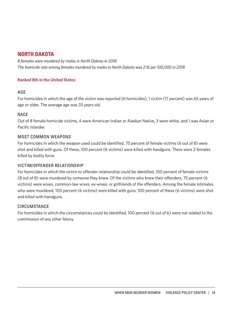# **NORTH DAKOTA**

*8 females were murdered by males in North Dakota in 2018 The homicide rate among females murdered by males in North Dakota was 2.16 per 100,000 in 2018*

#### **Ranked 8th in the United States**

#### AGE

For homicides in which the age of the victim was reported (6 homicides), 1 victim (17 percent) was 65 years of age or older. The average age was 33 years old.

## RACE

Out of 8 female homicide victims, 4 were American Indian or Alaskan Native, 3 were white, and 1 was Asian or Pacific Islander.

#### MOST COMMON WEAPONS

For homicides in which the weapon used could be identified, 75 percent of female victims (6 out of 8) were shot and killed with guns. Of these, 100 percent (6 victims) were killed with handguns. There were 2 females killed by bodily force.

## VICTIM/OFFENDER RELATIONSHIP

For homicides in which the victim to offender relationship could be identified, 100 percent of female victims (8 out of 8) were murdered by someone they knew. Of the victims who knew their offenders, 75 percent (6 victims) were wives, common-law wives, ex-wives, or girlfriends of the offenders. Among the female intimates who were murdered, 100 percent (6 victims) were killed with guns; 100 percent of these (6 victims) were shot and killed with handguns.

## CIRCUMSTANCE

For homicides in which the circumstances could be identified, 100 percent (6 out of 6) were not related to the commission of any other felony.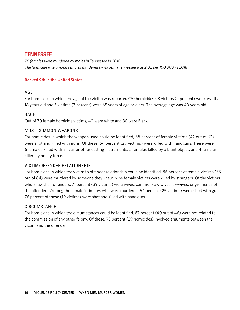## **TENNESSEE**

*70 females were murdered by males in Tennessee in 2018 The homicide rate among females murdered by males in Tennessee was 2.02 per 100,000 in 2018*

#### **Ranked 9th in the United States**

#### AGE

For homicides in which the age of the victim was reported (70 homicides), 3 victims (4 percent) were less than 18 years old and 5 victims (7 percent) were 65 years of age or older. The average age was 40 years old.

#### RACE

Out of 70 female homicide victims, 40 were white and 30 were Black.

#### MOST COMMON WEAPONS

For homicides in which the weapon used could be identified, 68 percent of female victims (42 out of 62) were shot and killed with guns. Of these, 64 percent (27 victims) were killed with handguns. There were 6 females killed with knives or other cutting instruments, 5 females killed by a blunt object, and 4 females killed by bodily force.

#### VICTIM/OFFENDER RELATIONSHIP

For homicides in which the victim to offender relationship could be identified, 86 percent of female victims (55 out of 64) were murdered by someone they knew. Nine female victims were killed by strangers. Of the victims who knew their offenders, 71 percent (39 victims) were wives, common-law wives, ex-wives, or girlfriends of the offenders. Among the female intimates who were murdered, 64 percent (25 victims) were killed with guns; 76 percent of these (19 victims) were shot and killed with handguns.

#### CIRCUMSTANCE

For homicides in which the circumstances could be identified, 87 percent (40 out of 46) were not related to the commission of any other felony. Of these, 73 percent (29 homicides) involved arguments between the victim and the offender.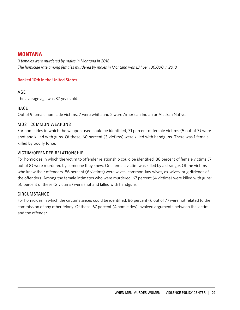## **MONTANA**

*9 females were murdered by males in Montana in 2018 The homicide rate among females murdered by males in Montana was 1.71 per 100,000 in 2018*

#### **Ranked 10th in the United States**

#### AGE

The average age was 37 years old.

## RACE

Out of 9 female homicide victims, 7 were white and 2 were American Indian or Alaskan Native.

#### MOST COMMON WEAPONS

For homicides in which the weapon used could be identified, 71 percent of female victims (5 out of 7) were shot and killed with guns. Of these, 60 percent (3 victims) were killed with handguns. There was 1 female killed by bodily force.

#### VICTIM/OFFENDER RELATIONSHIP

For homicides in which the victim to offender relationship could be identified, 88 percent of female victims (7 out of 8) were murdered by someone they knew. One female victim was killed by a stranger. Of the victims who knew their offenders, 86 percent (6 victims) were wives, common-law wives, ex-wives, or girlfriends of the offenders. Among the female intimates who were murdered, 67 percent (4 victims) were killed with guns; 50 percent of these (2 victims) were shot and killed with handguns.

## **CIRCUMSTANCE**

For homicides in which the circumstances could be identified, 86 percent (6 out of 7) were not related to the commission of any other felony. Of these, 67 percent (4 homicides) involved arguments between the victim and the offender.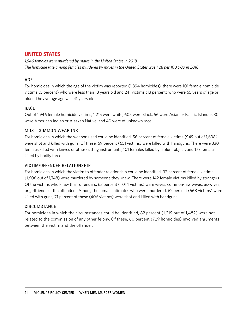# **UNITED STATES**

*1,946 females were murdered by males in the United States in 2018 The homicide rate among females murdered by males in the United States was 1.28 per 100,000 in 2018*

#### AGE

For homicides in which the age of the victim was reported (1,894 homicides), there were 101 female homicide victims (5 percent) who were less than 18 years old and 241 victims (13 percent) who were 65 years of age or older. The average age was 41 years old.

#### RACE

Out of 1,946 female homicide victims, 1,215 were white, 605 were Black, 56 were Asian or Pacific Islander, 30 were American Indian or Alaskan Native, and 40 were of unknown race.

#### MOST COMMON WEAPONS

For homicides in which the weapon used could be identified, 56 percent of female victims (949 out of 1,698) were shot and killed with guns. Of these, 69 percent (651 victims) were killed with handguns. There were 330 females killed with knives or other cutting instruments, 101 females killed by a blunt object, and 177 females killed by bodily force.

#### VICTIM/OFFENDER RELATIONSHIP

For homicides in which the victim to offender relationship could be identified, 92 percent of female victims (1,606 out of 1,748) were murdered by someone they knew. There were 142 female victims killed by strangers. Of the victims who knew their offenders, 63 percent (1,014 victims) were wives, common-law wives, ex-wives, or girlfriends of the offenders. Among the female intimates who were murdered, 62 percent (568 victims) were killed with guns; 71 percent of these (406 victims) were shot and killed with handguns.

#### CIRCUMSTANCE

For homicides in which the circumstances could be identified, 82 percent (1,219 out of 1,482) were not related to the commission of any other felony. Of these, 60 percent (729 homicides) involved arguments between the victim and the offender.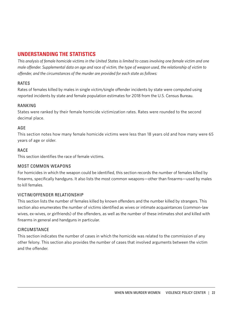# **UNDERSTANDING THE STATISTICS**

*This analysis of female homicide victims in the United States is limited to cases involving one female victim and one male offender. Supplemental data on age and race of victim, the type of weapon used, the relationship of victim to offender, and the circumstances of the murder are provided for each state as follows:*

#### RATES

Rates of females killed by males in single victim/single offender incidents by state were computed using reported incidents by state and female population estimates for 2018 from the U.S. Census Bureau.

#### RANKING

States were ranked by their female homicide victimization rates. Rates were rounded to the second decimal place.

## AGE

This section notes how many female homicide victims were less than 18 years old and how many were 65 years of age or older.

#### RACE

This section identifies the race of female victims.

#### MOST COMMON WEAPONS

For homicides in which the weapon could be identified, this section records the number of females killed by firearms, specifically handguns. It also lists the most common weapons—other than firearms—used by males to kill females.

## VICTIM/OFFENDER RELATIONSHIP

This section lists the number of females killed by known offenders and the number killed by strangers. This section also enumerates the number of victims identified as wives or intimate acquaintances (common-law wives, ex-wives, or girlfriends) of the offenders, as well as the number of these intimates shot and killed with firearms in general and handguns in particular.

#### CIRCUMSTANCE

This section indicates the number of cases in which the homicide was related to the commission of any other felony. This section also provides the number of cases that involved arguments between the victim and the offender.